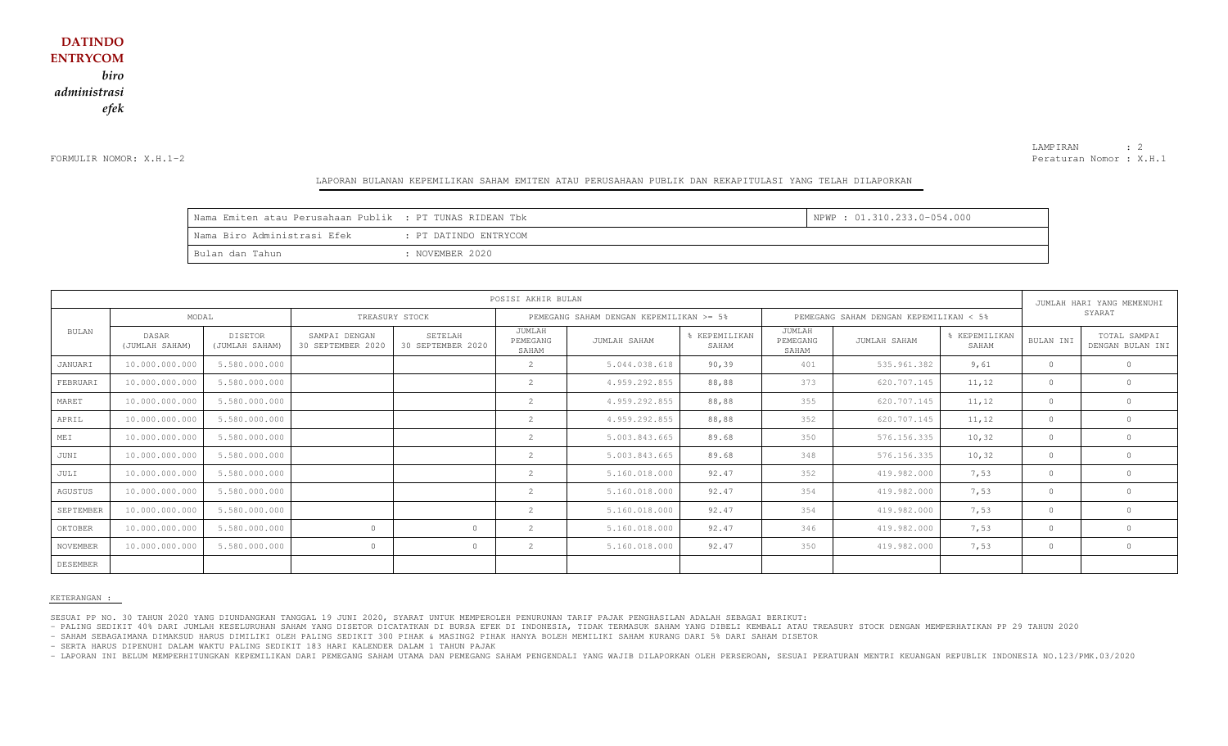FORMULIR NOMOR: X.H.1-2

LAMPIRAN : 2 Peraturan Nomor : X.H.1

#### LAPORAN BULANAN KEPEMILIKAN SAHAM EMITEN ATAU PERUSAHAAN PUBLIK DAN REKAPITULASI YANG TELAH DILAPORKAN

| Nama Emiten atau Perusahaan Publik : PT TUNAS RIDEAN Tbk |                       | NPWP : 01.310.233.0-054.000 |
|----------------------------------------------------------|-----------------------|-----------------------------|
| Nama Biro Administrasi Efek                              | : PT DATINDO ENTRYCOM |                             |
| l Bulan dan Tahun                                        | : NOVEMBER 2020       |                             |

|              | POSISI AKHIR BULAN      |                                  |                                    |                              |                                         |               |                        |                                        |              | JUMLAH HARI YANG MEMENUHI |           |                                  |
|--------------|-------------------------|----------------------------------|------------------------------------|------------------------------|-----------------------------------------|---------------|------------------------|----------------------------------------|--------------|---------------------------|-----------|----------------------------------|
|              | MODAL                   |                                  | TREASURY STOCK                     |                              | PEMEGANG SAHAM DENGAN KEPEMILIKAN >= 5% |               |                        | PEMEGANG SAHAM DENGAN KEPEMILIKAN < 5% |              |                           | SYARAT    |                                  |
| <b>BULAN</b> | DASAR<br>(JUMLAH SAHAM) | <b>DISETOR</b><br>(JUMLAH SAHAM) | SAMPAI DENGAN<br>30 SEPTEMBER 2020 | SETELAH<br>30 SEPTEMBER 2020 | JUMLAH<br>PEMEGANG<br>SAHAM             | JUMLAH SAHAM  | % KEPEMILIKAN<br>SAHAM | JUMLAH<br>PEMEGANG<br>SAHAM            | JUMLAH SAHAM | KEPEMILIKAN<br>SAHAM      | BULAN INI | TOTAL SAMPAI<br>DENGAN BULAN INI |
| JANUARI      | 10.000.000.000          | 5.580.000.000                    |                                    |                              | 2                                       | 5.044.038.618 | 90, 39                 | 401                                    | 535.961.382  | 9,61                      | $\circ$   |                                  |
| FEBRUARI     | 10.000.000.000          | 5.580.000.000                    |                                    |                              | 2                                       | 4.959.292.855 | 88,88                  | 373                                    | 620.707.145  | 11, 12                    | $\circ$   | $\Omega$                         |
| MARET        | 10.000.000.000          | 5.580.000.000                    |                                    |                              |                                         | 4.959.292.855 | 88,88                  | 355                                    | 620.707.145  | 11, 12                    | $\circ$   |                                  |
| APRIL        | 10.000.000.000          | 5.580.000.000                    |                                    |                              | 2                                       | 4.959.292.855 | 88,88                  | 352                                    | 620.707.145  | 11, 12                    | $\circ$   | $\circ$                          |
| MEI          | 10.000.000.000          | 5.580.000.000                    |                                    |                              |                                         | 5.003.843.665 | 89.68                  | 350                                    | 576.156.335  | 10, 32                    | $\circ$   |                                  |
| JUNI         | 10.000.000.000          | 5.580.000.000                    |                                    |                              | $\mathcal{D}$                           | 5.003.843.665 | 89.68                  | 348                                    | 576.156.335  | 10, 32                    | $\Omega$  |                                  |
| JULI         | 10.000.000.000          | 5.580.000.000                    |                                    |                              | 2                                       | 5.160.018.000 | 92.47                  | 352                                    | 419.982.000  | 7,53                      | $\circ$   |                                  |
| AGUSTUS      | 10.000.000.000          | 5.580.000.000                    |                                    |                              | 2                                       | 5.160.018.000 | 92.47                  | 354                                    | 419.982.000  | 7,53                      | $\circ$   |                                  |
| SEPTEMBER    | 10.000.000.000          | 5.580.000.000                    |                                    |                              |                                         | 5.160.018.000 | 92.47                  | 354                                    | 419.982.000  | 7,53                      | $\circ$   |                                  |
| OKTOBER      | 10.000.000.000          | 5.580.000.000                    | $\Omega$                           | $\Omega$                     | 2                                       | 5.160.018.000 | 92.47                  | 346                                    | 419.982.000  | 7,53                      | $\circ$   | $\Omega$                         |
| NOVEMBER     | 10.000.000.000          | 5.580.000.000                    | $\Omega$                           | $\Omega$                     | 2                                       | 5.160.018.000 | 92.47                  | 350                                    | 419.982.000  | 7,53                      | $\Omega$  | $\circ$                          |
| DESEMBER     |                         |                                  |                                    |                              |                                         |               |                        |                                        |              |                           |           |                                  |

#### KETERANGAN :

SESUAI PP NO. 30 TAHUN 2020 YANG DIUNDANGKAN TANGGAL 19 JUNI 2020, SYARAT UNTUK MEMPEROLEH PENURUNAN TARIF PAJAK PENGHASILAN ADALAH SEBAGAI BERIKUT:

- PALING SEDIKIT 40% DARI JUMLAH KESELURUHAN SAHAM YANG DISETOR DICATATKAN DI BURSA EFEK DI INDONESIA, TIDAK TERMASUK SAHAM YANG DIBELI KEMBALI ATAU TREASURY STOCK DENGAN MEMPERHATIKAN PP 29 TAHUN 2020

- SAHAM SEBAGAIMANA DIMAKSUD HARUS DIMILIKI OLEH PALING SEDIKIT 300 PIHAK & MASING2 PIHAK HANYA BOLEH MEMILIKI SAHAM KURANG DARI 5% DARI SAHAM DISETOR

- SERTA HARUS DIPENUHI DALAM WAKTU PALING SEDIKIT 183 HARI KALENDER DALAM 1 TAHUN PAJAK

- LAPORAN INI BELUM MEMPERHITUNGKAN KEPEMILIKAN DARI PEMEGANG SAHAM UTAMA DAN PEMEGANG SAHAM PENGENDALI YANG WAJIB DILAPORKAN OLEH PERSEROAN, SESUAI PERATURAN MENTRI KEUANGAN REPUBLIK INDONESIA NO.123/PMK.03/2020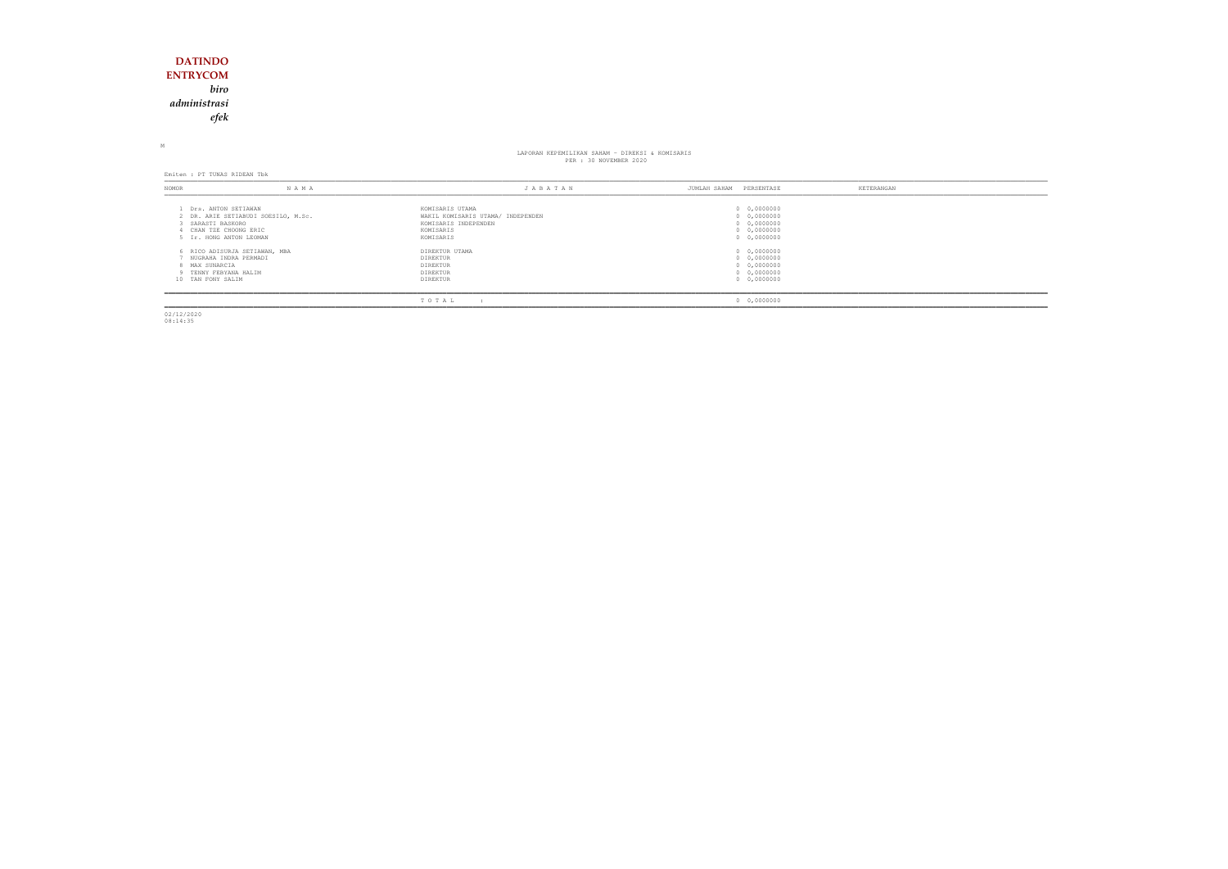### **DATINDO ENTRYCOM** *biro administrasiefek*

M

## LAPORAN KEPEMILIKAN SAHAM - DIREKSI & KOMISARIS PER : 30 NOVEMBER 2020

Emiten : PT TUNAS RIDEAN Tbk

| NOMOR                               | N A M A                                                                                                       | JABATAN                                                                                                | PERSENTASE<br>JUMLAH SAHAM                                              | KETERANGAN |
|-------------------------------------|---------------------------------------------------------------------------------------------------------------|--------------------------------------------------------------------------------------------------------|-------------------------------------------------------------------------|------------|
| SARASTI BASKORO                     | Drs. ANTON SETIAWAN<br>2 DR. ARIE SETIABUDI SOESILO, M.Sc.<br>CHAN TZE CHOONG ERIC<br>5 Ir. HONG ANTON LEOMAN | KOMISARIS UTAMA<br>WAKIL KOMISARIS UTAMA/ INDEPENDEN<br>KOMISARIS INDEPENDEN<br>KOMISARIS<br>KOMISARIS | 0 0,0000000<br>0 0,0000000<br>0 0,0000000<br>0 0,0000000<br>0 0,0000000 |            |
| 8 MAX SUNARCIA<br>10 TAN FONY SALIM | 6 RICO ADISURJA SETIAWAN, MBA<br>NUGRAHA INDRA PERMADI<br>9 TENNY FEBYANA HALIM                               | DIREKTUR UTAMA<br>DIREKTUR<br>DIREKTUR<br>DIREKTUR<br>DIREKTUR                                         | 0 0,0000000<br>0 0,0000000<br>0 0,0000000<br>0 0,0000000<br>0 0,0000000 |            |
|                                     |                                                                                                               | TOTAL                                                                                                  | 0 0,0000000                                                             |            |

02/12/2020 08:14:35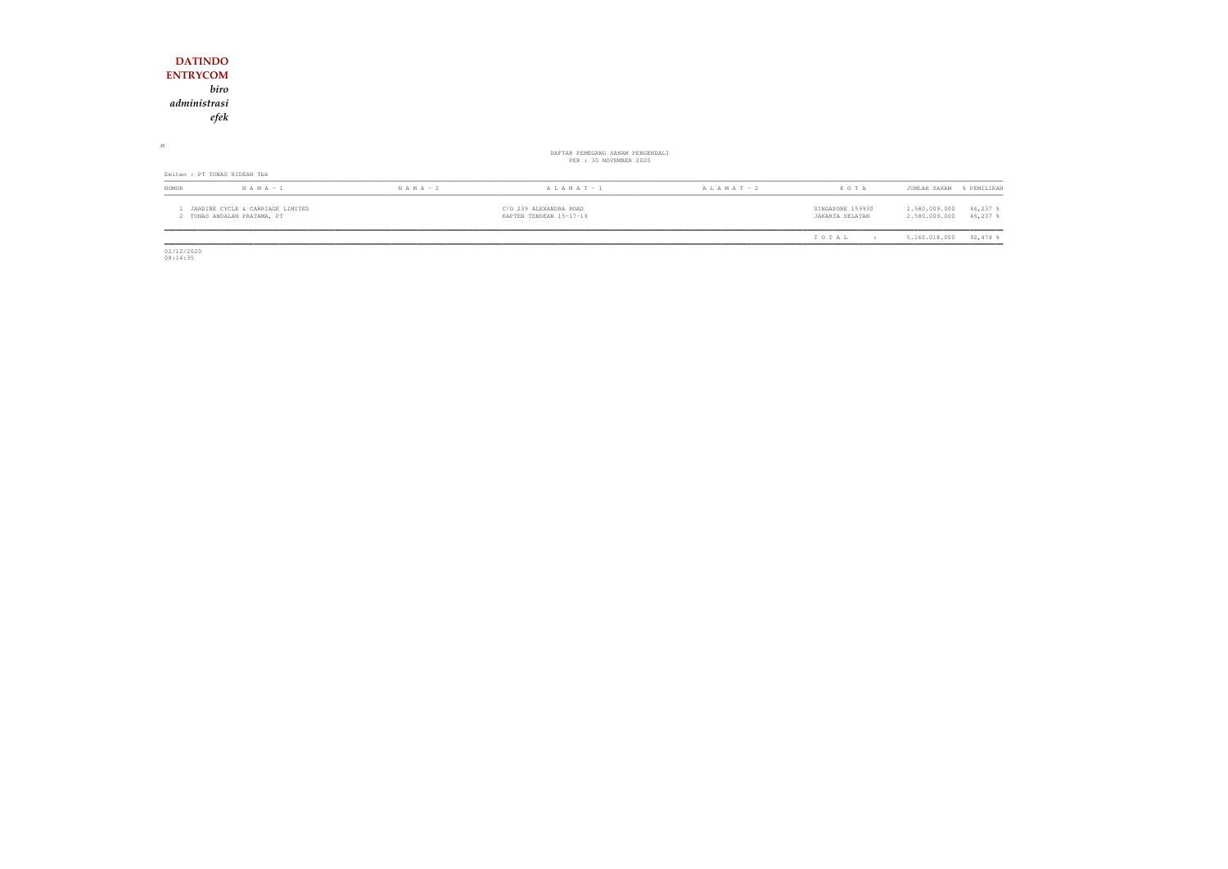| <b>DATINDO</b>                                                  |               |                                                            |                 |                                     |                                                           |
|-----------------------------------------------------------------|---------------|------------------------------------------------------------|-----------------|-------------------------------------|-----------------------------------------------------------|
| <b>ENTRYCOM</b>                                                 |               |                                                            |                 |                                     |                                                           |
| biro                                                            |               |                                                            |                 |                                     |                                                           |
| administrasi                                                    |               |                                                            |                 |                                     |                                                           |
| efek                                                            |               |                                                            |                 |                                     |                                                           |
| М                                                               |               | DAFTAR PEMEGANG SAHAM PENGENDALI<br>PER : 30 NOVEMBER 2020 |                 |                                     |                                                           |
| Emiten : PT TUNAS RIDEAN Tbk                                    |               |                                                            |                 |                                     |                                                           |
| NOMOR<br>$N A M A - 1$                                          | $N A M A - 2$ | A L A M A T - 1                                            | A L A M A T - 2 | KOTA                                | JUMLAH SAHAM<br>% PEMILIKAN                               |
| JARDINE CYCLE & CARRIAGE LIMITED<br>2 TUNAS ANDALAN PRATAMA, PT |               | C/O 239 ALEXANDRA ROAD<br>KAPTEN TENDEAN 15-17-19          |                 | SINGAPORE 159930<br>JAKARTA SELATAN | 2.580.009.000<br>46,237 %<br>2.580.009.000<br>$46,237$ \$ |
|                                                                 |               |                                                            |                 | TOTAL<br>$\mathbf{r}$               | $92,474$ %<br>5.160.018.000                               |

 $\begin{array}{c} 02/12/2020 \\ 08:14:35 \end{array}$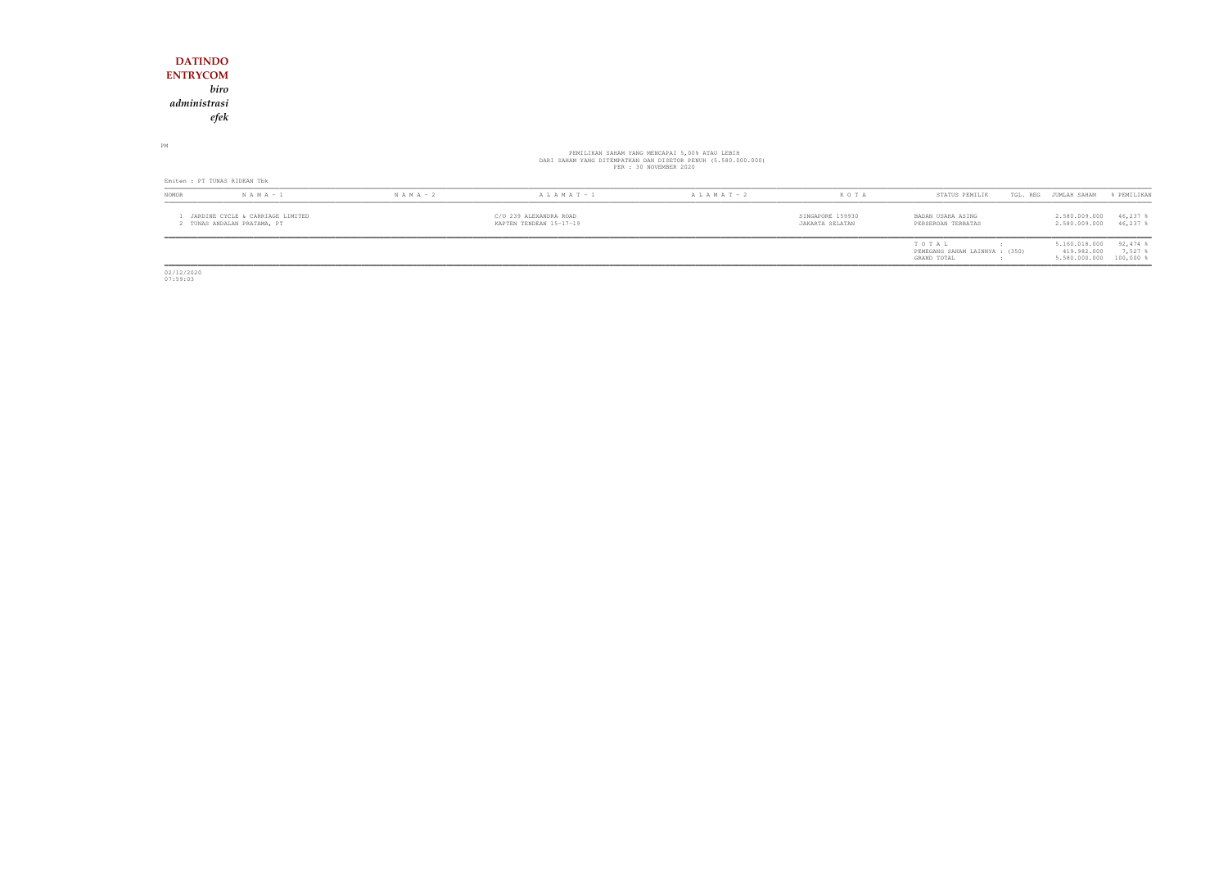### **DATINDO ENTRYCOM** *biro administrasiefek*

PM

# PEMILIKAN SAHAM YANG MENCAPAI 5,00% ATAU LEBIH<br>DARI SAHAM YANG DITEMPATKAN DAN DISETOR PENUH (5.580.000.000)<br>PER : 30 NOVEMBER 2020

| Emiten : PT TUNAS RIDEAN Tbk                                  |               |               |                                                   |                   |         |                                                        |  |                                               |                                        |
|---------------------------------------------------------------|---------------|---------------|---------------------------------------------------|-------------------|---------|--------------------------------------------------------|--|-----------------------------------------------|----------------------------------------|
| <b>NOMOR</b>                                                  | $N A M A - 1$ | $N A M A - 2$ | $A L A M A T - 1$                                 | $A L A M A T - 2$ | K O T A | STATUS PEMILIK                                         |  | TGL. REG JUMLAH SAHAM                         | & PEMILIKAN                            |
| JARDINE CYCLE & CARRIAGE LIMITED<br>TUNAS ANDALAN PRATAMA, PT |               |               | C/O 239 ALEXANDRA ROAD<br>KAPTEN TENDEAN 15-17-19 |                   |         | BADAN USAHA ASING<br>PERSEROAN TERBATAS                |  | 2.580.009.000<br>2.580.009.000                | 46,237 \$<br>46,237 \$                 |
|                                                               |               |               |                                                   |                   |         | TOTAL<br>PEMEGANG SAHAM LAINNYA : (350)<br>GRAND TOTAL |  | 5.160.018.000<br>419.982.000<br>5.580.000.000 | $92,474$ %<br>$7,527$ :<br>$100,000$ 8 |

02/12/2020 07:59:03